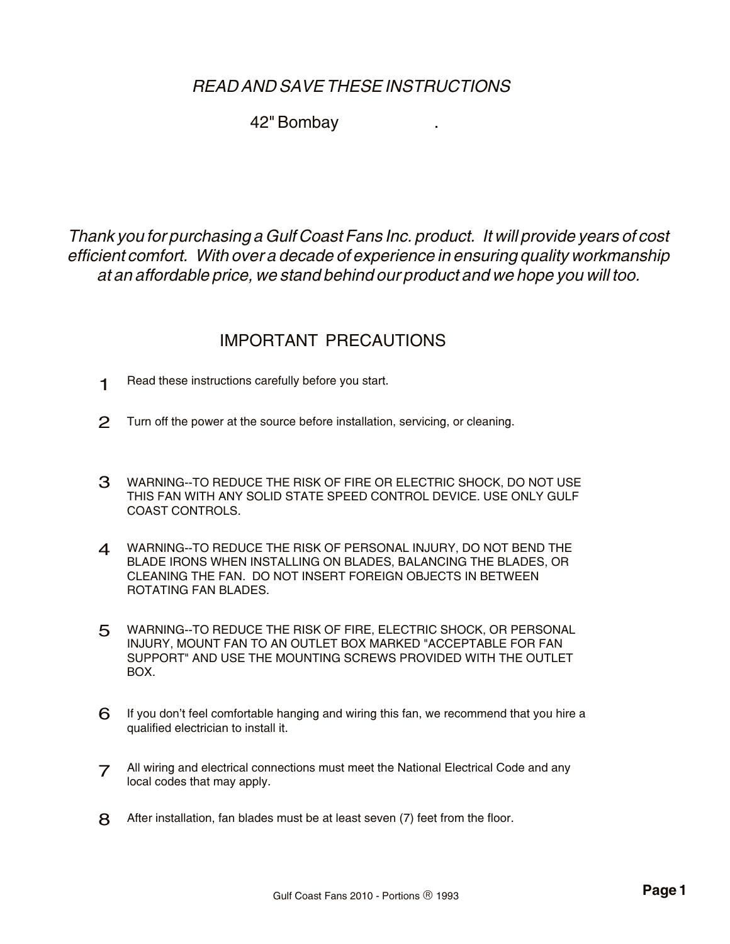# *READ AND SAVE THESE INSTRUCTIONS*

### 42" Bombay .

*Thank you for purchasing a Gulf Coast Fans Inc. product. It will provide years of cost efficient comfort. With over a decade of experience in ensuring quality workmanship at an affordable price, we stand behind our product and we hope you will too.* 

## IMPORTANT PRECAUTIONS

- Read these instructions carefully before you start. 1
- Turn off the power at the source before installation, servicing, or cleaning. 2
- 3 WARNING--TO REDUCE THE RISK OF FIRE OR ELECTRIC SHOCK, DO NOT USE THIS FAN WITH ANY SOLID STATE SPEED CONTROL DEVICE. USE ONLY GULF COAST CONTROLS.
- 4 WARNING--TO REDUCE THE RISK OF PERSONAL INJURY, DO NOT BEND THE BLADE IRONS WHEN INSTALLING ON BLADES, BALANCING THE BLADES, OR CLEANING THE FAN. DO NOT INSERT FOREIGN OBJECTS IN BETWEEN ROTATING FAN BLADES.
- 5 WARNING--TO REDUCE THE RISK OF FIRE, ELECTRIC SHOCK, OR PERSONAL INJURY, MOUNT FAN TO AN OUTLET BOX MARKED "ACCEPTABLE FOR FAN SUPPORT" AND USE THE MOUNTING SCREWS PROVIDED WITH THE OUTLET BOX.
- If you don't feel comfortable hanging and wiring this fan, we recommend that you hire a qualified electrician to install it. 6
- All wiring and electrical connections must meet the National Electrical Code and any local codes that may apply. 7
- 8 After installation, fan blades must be at least seven (7) feet from the floor.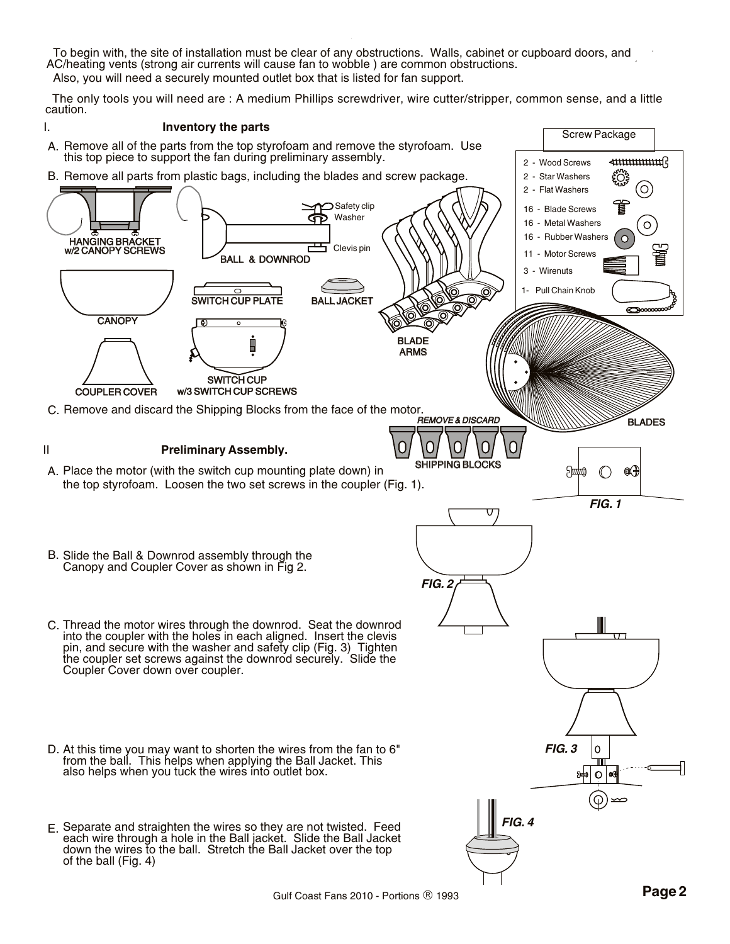To begin with, the site of installation must be clear of any obstructions. Walls, cabinet or cupboard doors, and AC/heating vents (strong air currents will cause fan to wobble ) are common obstructions.

Also, you will need a securely mounted outlet box that is listed for fan support.

 The only tools you will need are : A medium Phillips screwdriver, wire cutter/stripper, common sense, and a little caution.

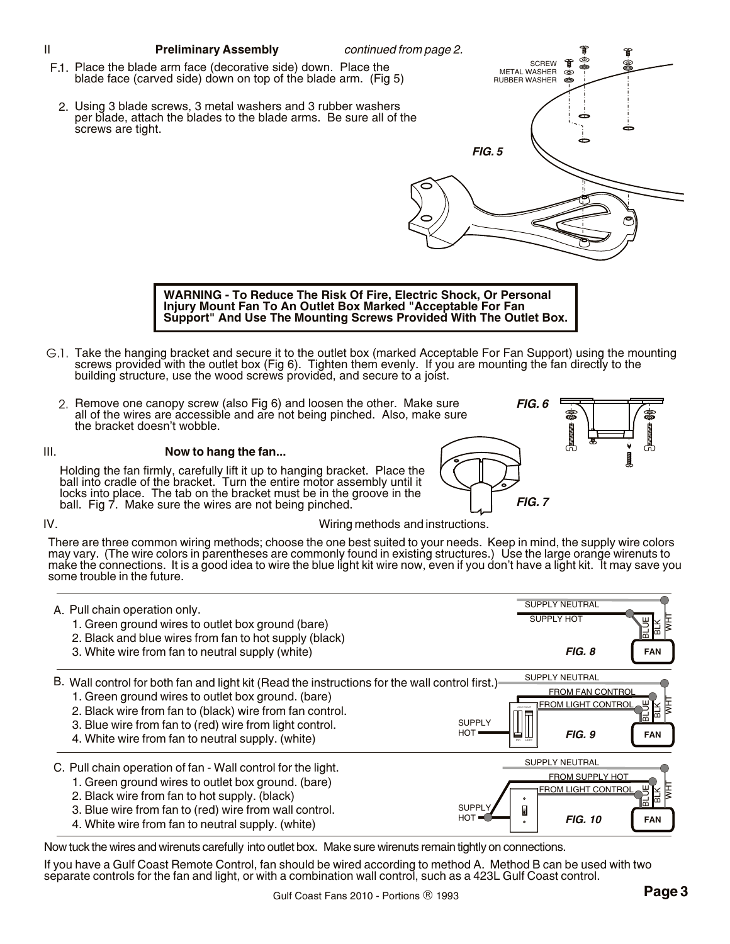

- **Support" And Use The Mounting Screws Provided With The Outlet Box.**
- G.1. Take the hanging bracket and secure it to the outlet box (marked Acceptable For Fan Support) using the mounting screws provided with the outlet box (Fig 6). Tighten them evenly. If you are mounting the fan directly to the building structure, use the wood screws provided, and secure to a joist.
	- 2. Remove one canopy screw (also Fig 6) and loosen the other. Make sure all of the wires are accessible and are not being pinched. Also, make sure the bracket doesn't wobble.

### III. **Now to hang the fan...**

Holding the fan firmly, carefully lift it up to hanging bracket. Place the ball into cradle of the bracket. Turn the entire motor assembly until it locks into place. The tab on the bracket must be in the groove in the ball. Fig 7. Make sure the wires are not being pinched.

## IV. Wiring methods and instructions.

*FIG. 6*

*FIG. 7*

There are three common wiring methods; choose the one best suited to your needs. Keep in mind, the supply wire colors may vary. (The wire colors in parentheses are commonly found in existing structures.) Use the large orange wirenuts to make the connections. It is a good idea to wire the blue light kit wire now, even if you don't have a light kit. It may save you some trouble in the future.



Now tuck the wires and wirenuts carefully into outlet box. Make sure wirenuts remain tightly on connections.

If you have a Gulf Coast Remote Control, fan should be wired according to method A. Method B can be used with two separate controls for the fan and light, or with a combination wall control, such as a 423L Gulf Coast control.